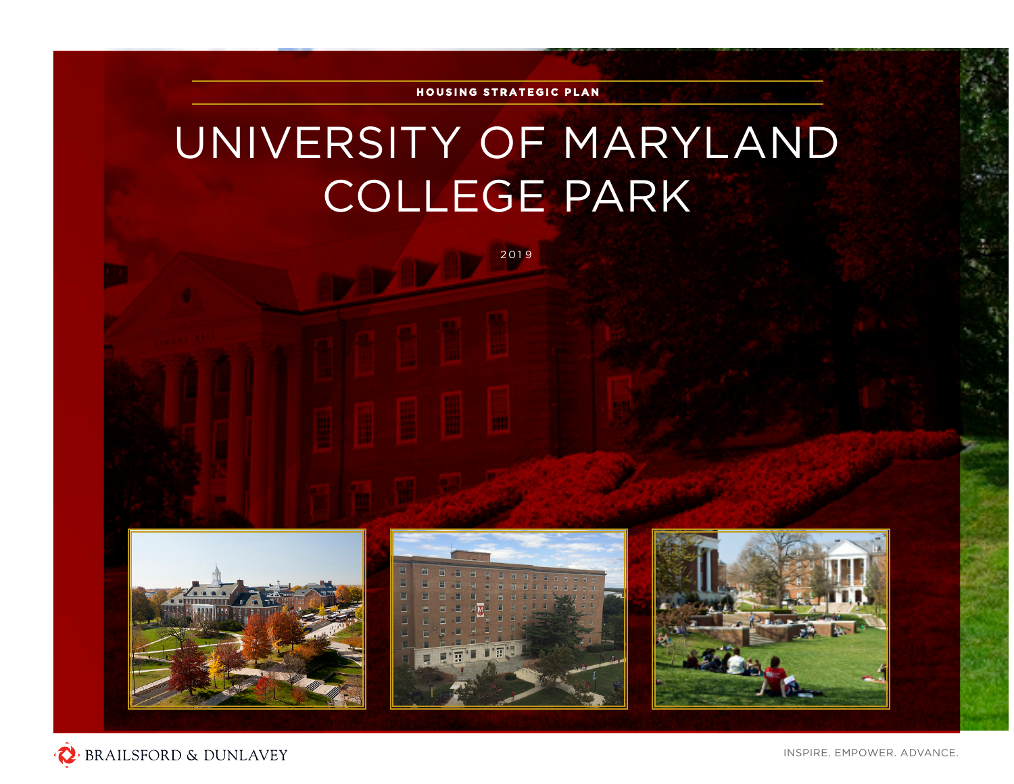

## UNIVERSITY OF MARYLAND COLLEGE PARK

2 0 1 9







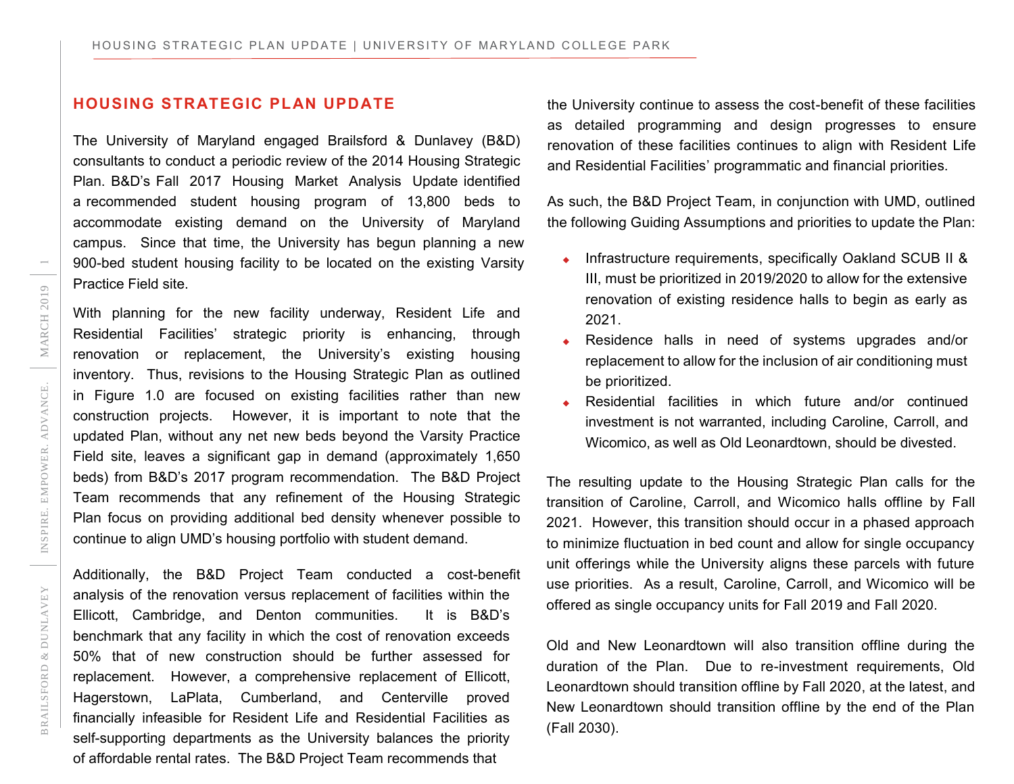## **HOUSING STRATEGIC PLAN UPDATE**

The University of Maryland engaged Brailsford & Dunlavey (B&D) consultants to conduct a periodic review of the 2014 Housing Strategic Plan. B&D's Fall 2017 Housing Market Analysis Update identified a recommended student housing program of 13,800 beds to accommodate existing demand on the University of Maryland campus. Since that time, the University has begun planning a new 900-bed student housing facility to be located on the existing Varsity Practice Field site.

With planning for the new facility underway, Resident Life and Residential Facilities' strategic priority is enhancing, through renovation or replacement, the University's existing housing inventory. Thus, revisions to the Housing Strategic Plan as outlined in Figure 1.0 are focused on existing facilities rather than new construction projects. However, it is important to note that the updated Plan, without any net new beds beyond the Varsity Practice Field site, leaves a significant gap in demand (approximately 1,650 beds) from B&D's 2017 program recommendation. The B&D Project Team recommends that any refinement of the Housing Strategic Plan focus on providing additional bed density whenever possible to continue to align UMD's housing portfolio with student demand.

Additionally, the B&D Project Team conducted a cost-benefit analysis of the renovation versus replacement of facilities within the Ellicott, Cambridge, and Denton communities. It is B&D's benchmark that any facility in which the cost of renovation exceeds 50% that of new construction should be further assessed for replacement. However, a comprehensive replacement of Ellicott, Hagerstown, LaPlata, Cumberland, and Centerville proved financially infeasible for Resident Life and Residential Facilities as self-supporting departments as the University balances the priority of affordable rental rates. The B&D Project Team recommends that

the University continue to assess the cost-benefit of these facilities as detailed programming and design progresses to ensure renovation of these facilities continues to align with Resident Life and Residential Facilities' programmatic and financial priorities.

As such, the B&D Project Team, in conjunction with UMD, outlined the following Guiding Assumptions and priorities to update the Plan:

- Infrastructure requirements, specifically Oakland SCUB II & III, must be prioritized in 2019/2020 to allow for the extensive renovation of existing residence halls to begin as early as 2021.
- Residence halls in need of systems upgrades and/or replacement to allow for the inclusion of air conditioning must be prioritized.
- Residential facilities in which future and/or continued investment is not warranted, including Caroline, Carroll, and Wicomico, as well as Old Leonardtown, should be divested.

The resulting update to the Housing Strategic Plan calls for the transition of Caroline, Carroll, and Wicomico halls offline by Fall 2021. However, this transition should occur in a phased approach to minimize fluctuation in bed count and allow for single occupancy unit offerings while the University aligns these parcels with future use priorities. As a result, Caroline, Carroll, and Wicomico will be offered as single occupancy units for Fall 2019 and Fall 2020.

Old and New Leonardtown will also transition offline during the duration of the Plan. Due to re-investment requirements, Old Leonardtown should transition offline by Fall 2020, at the latest, and New Leonardtown should transition offline by the end of the Plan (Fall 2030).

 $\overline{\phantom{m}}$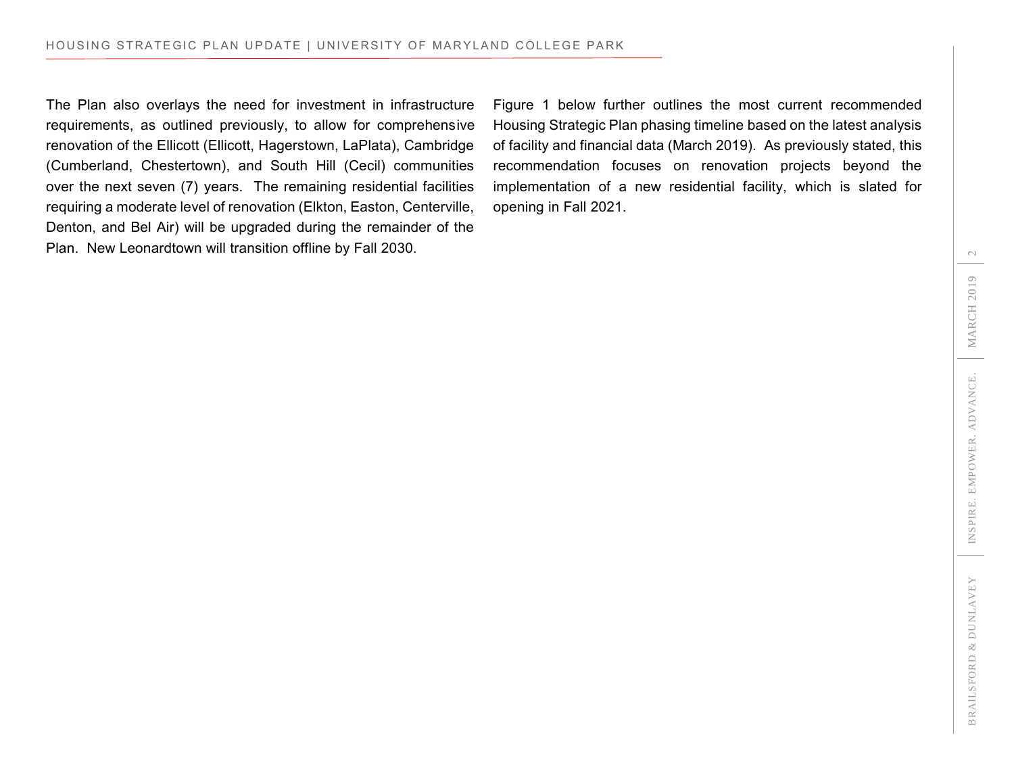The Plan also overlays the need for investment in infrastructure requirements, as outlined previously, to allow for comprehensive renovation of the Ellicott (Ellicott, Hagerstown, LaPlata), Cambridge (Cumberland, Chestertown), and South Hill (Cecil) communities over the next seven (7) years. The remaining residential facilities requiring a moderate level of renovation (Elkton, Easton, Centerville, Denton, and Bel Air) will be upgraded during the remainder of the Plan. New Leonardtown will transition offline by Fall 2030.

Figure 1 below further outlines the most current recommended Housing Strategic Plan phasing timeline based on the latest analysis of facility and financial data (March 2019). As previously stated, this recommendation focuses on renovation projects beyond the implementation of a new residential facility, which is slated for opening in Fall 2021.

 $\sim$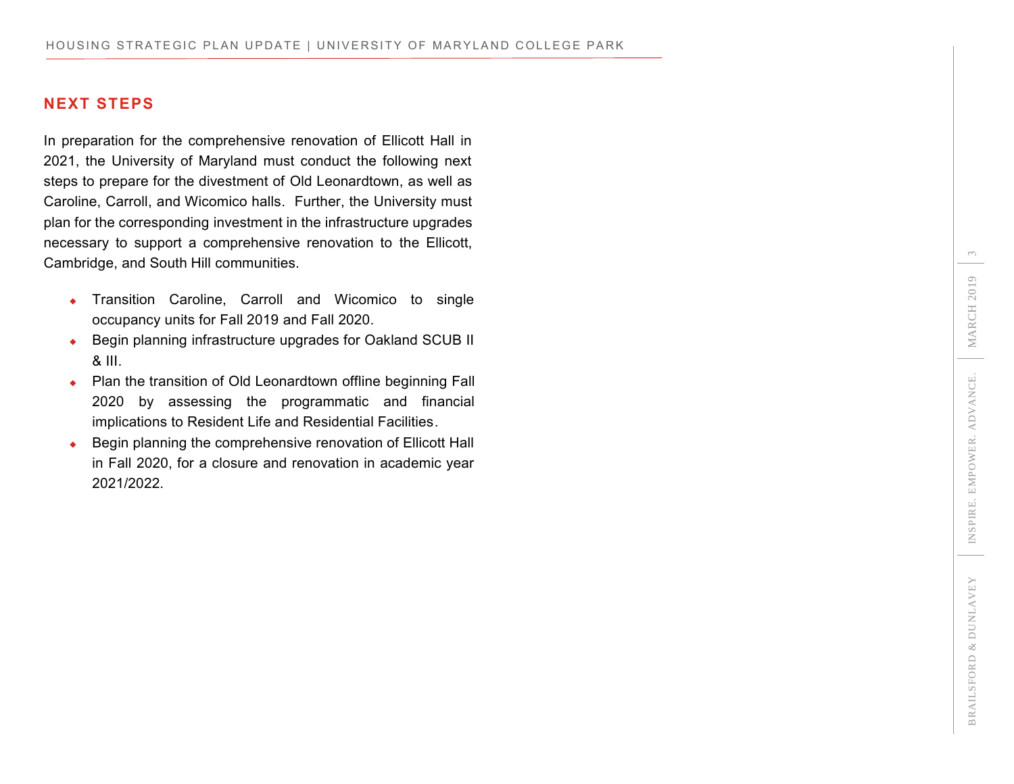## **NEXT STEPS**

In preparation for the comprehensive renovation of Ellicott Hall in 2021, the University of Maryland must conduct the following next steps to prepare for the divestment of Old Leonardtown, as well as Caroline, Carroll, and Wicomico halls. Further, the University must plan for the corresponding investment in the infrastructure upgrades necessary to support a comprehensive renovation to the Ellicott, Cambridge, and South Hill communities.

- **Transition Caroline, Carroll and Wicomico to single** occupancy units for Fall 2019 and Fall 2020.
- ◆ Begin planning infrastructure upgrades for Oakland SCUB II & III.
- Plan the transition of Old Leonardtown offline beginning Fall 2020 by assessing the programmatic and financial implications to Resident Life and Residential Facilities.
- Begin planning the comprehensive renovation of Ellicott Hall in Fall 2020, for a closure and renovation in academic year 2021/2022.

 $\infty$